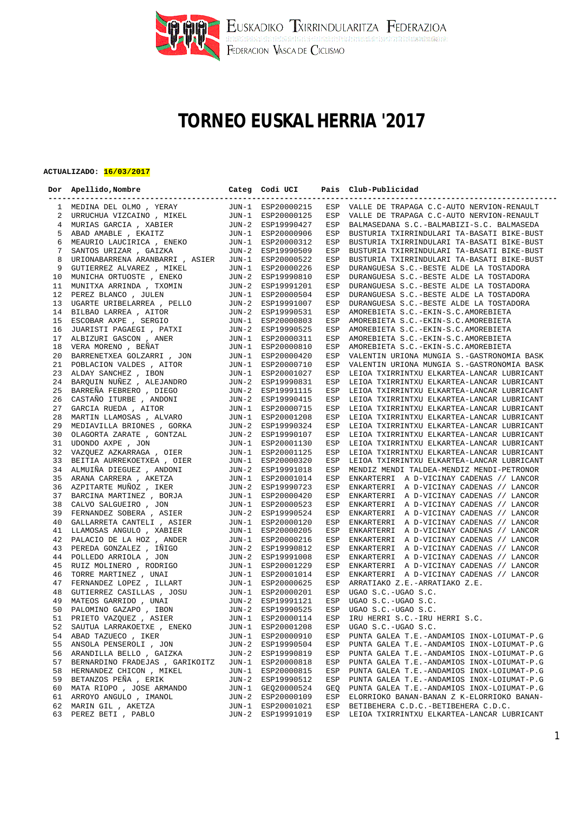

## **TORNEO EUSKAL HERRIA '2017**

## **ACTUALIZADO: 16/03/2017**

|    | Dor Apellido, Nombre                                                                                                                                                           |       | Categ Codi UCI    |     | Pais Club-Publicidad                          |
|----|--------------------------------------------------------------------------------------------------------------------------------------------------------------------------------|-------|-------------------|-----|-----------------------------------------------|
|    | 1 MEDINA DEL OLMO, YERAY                                                                                                                                                       |       |                   |     | ESP VALLE DE TRAPAGA C.C-AUTO NERVION-RENAULT |
| 2  | MEDINA DEL OLMO , YERAY JUN-1 ESP20000215<br>URRUCHUA VIZCAINO , MIKEL JUN-1 ESP20000125<br>MURIAS GARCIA , XABIER JUN-2 ESP19990427<br>ABAD AMABLE , EKAITZ JUN-1 ESP20000906 |       |                   | ESP | VALLE DE TRAPAGA C.C-AUTO NERVION-RENAULT     |
|    | 4 MURIAS GARCIA, XABIER                                                                                                                                                        |       |                   | ESP | BALMASEDANA S.C.-BALMABIZI-S.C. BALMASEDA     |
| 5  |                                                                                                                                                                                |       |                   | ESP | BUSTURIA TXIRRINDULARI TA-BASATI BIKE-BUST    |
| 6  | MEAURIO LAUCIRICA, ENEKO JUN-1 ESP20000312                                                                                                                                     |       |                   | ESP |                                               |
| 7  |                                                                                                                                                                                |       |                   |     | BUSTURIA TXIRRINDULARI TA-BASATI BIKE-BUST    |
|    | SANTOS URIZAR , GAIZKA                                                                                                                                                         |       | JUN-2 ESP19990509 | ESP | BUSTURIA TXIRRINDULARI TA-BASATI BIKE-BUST    |
| 8  | URIONABARRENA ARANBARRI , ASIER JUN-1 ESP20000522                                                                                                                              |       |                   | ESP | BUSTURIA TXIRRINDULARI TA-BASATI BIKE-BUST    |
| 9  | GUTIERREZ ALVAREZ , MIKEL                                                                                                                                                      |       | JUN-1 ESP20000226 | ESP | DURANGUESA S.C.-BESTE ALDE LA TOSTADORA       |
| 10 | MUNICHA ORTUOSTE, ENEKO                                                                                                                                                        |       | JUN-2 ESP19990810 | ESP | DURANGUESA S.C.-BESTE ALDE LA TOSTADORA       |
| 11 |                                                                                                                                                                                |       |                   | ESP | DURANGUESA S.C.-BESTE ALDE LA TOSTADORA       |
| 12 |                                                                                                                                                                                |       |                   | ESP | DURANGUESA S.C.-BESTE ALDE LA TOSTADORA       |
| 13 |                                                                                                                                                                                |       |                   | ESP | DURANGUESA S.C.-BESTE ALDE LA TOSTADORA       |
| 14 |                                                                                                                                                                                |       |                   | ESP | AMOREBIETA S.C.-EKIN-S.C.AMOREBIETA           |
| 15 |                                                                                                                                                                                |       |                   | ESP | AMOREBIETA S.C.-EKIN-S.C.AMOREBIETA           |
| 16 |                                                                                                                                                                                |       |                   | ESP | AMOREBIETA S.C.-EKIN-S.C.AMOREBIETA           |
| 17 |                                                                                                                                                                                |       |                   | ESP | AMOREBIETA S.C.-EKIN-S.C.AMOREBIETA           |
| 18 |                                                                                                                                                                                |       |                   | ESP | AMOREBIETA S.C.-EKIN-S.C.AMOREBIETA           |
| 20 |                                                                                                                                                                                |       |                   | ESP | VALENTIN URIONA MUNGIA S.-GASTRONOMIA BASK    |
| 21 |                                                                                                                                                                                |       |                   | ESP | VALENTIN URIONA MUNGIA S.-GASTRONOMIA BASK    |
| 23 |                                                                                                                                                                                |       |                   | ESP | LEIOA TXIRRINTXU ELKARTEA-LANCAR LUBRICANT    |
| 24 |                                                                                                                                                                                |       |                   | ESP | LEIOA TXIRRINTXU ELKARTEA-LANCAR LUBRICANT    |
| 25 |                                                                                                                                                                                |       |                   | ESP | LEIOA TXIRRINTXU ELKARTEA-LANCAR LUBRICANT    |
| 26 |                                                                                                                                                                                |       |                   | ESP | LEIOA TXIRRINTXU ELKARTEA-LANCAR LUBRICANT    |
| 27 |                                                                                                                                                                                |       |                   | ESP | LEIOA TXIRRINTXU ELKARTEA-LANCAR LUBRICANT    |
| 28 |                                                                                                                                                                                |       |                   | ESP | LEIOA TXIRRINTXU ELKARTEA-LANCAR LUBRICANT    |
| 29 |                                                                                                                                                                                |       |                   | ESP | LEIOA TXIRRINTXU ELKARTEA-LANCAR LUBRICANT    |
| 30 |                                                                                                                                                                                |       |                   | ESP | LEIOA TXIRRINTXU ELKARTEA-LANCAR LUBRICANT    |
| 31 |                                                                                                                                                                                |       |                   | ESP | LEIOA TXIRRINTXU ELKARTEA-LANCAR LUBRICANT    |
| 32 |                                                                                                                                                                                |       |                   | ESP | LEIOA TXIRRINTXU ELKARTEA-LANCAR LUBRICANT    |
| 33 |                                                                                                                                                                                |       |                   | ESP | LEIOA TXIRRINTXU ELKARTEA-LANCAR LUBRICANT    |
| 34 |                                                                                                                                                                                |       |                   | ESP | MENDIZ MENDI TALDEA-MENDIZ MENDI-PETRONOR     |
| 35 |                                                                                                                                                                                |       |                   | ESP | ENKARTERRI A D-VICINAY CADENAS // LANCOR      |
| 36 |                                                                                                                                                                                |       |                   | ESP | ENKARTERRI A D-VICINAY CADENAS // LANCOR      |
| 37 |                                                                                                                                                                                |       |                   | ESP | ENKARTERRI A D-VICINAY CADENAS // LANCOR      |
| 38 |                                                                                                                                                                                |       |                   | ESP | ENKARTERRI A D-VICINAY CADENAS // LANCOR      |
| 39 |                                                                                                                                                                                |       |                   | ESP | ENKARTERRI A D-VICINAY CADENAS // LANCOR      |
| 40 |                                                                                                                                                                                |       |                   | ESP | ENKARTERRI A D-VICINAY CADENAS // LANCOR      |
| 41 |                                                                                                                                                                                |       |                   | ESP | ENKARTERRI A D-VICINAY CADENAS // LANCOR      |
| 42 |                                                                                                                                                                                |       |                   | ESP | ENKARTERRI A D-VICINAY CADENAS // LANCOR      |
| 43 |                                                                                                                                                                                |       |                   | ESP | ENKARTERRI A D-VICINAY CADENAS // LANCOR      |
| 44 |                                                                                                                                                                                |       |                   | ESP | ENKARTERRI A D-VICINAY CADENAS // LANCOR      |
| 45 |                                                                                                                                                                                |       |                   | ESP | ENKARTERRI A D-VICINAY CADENAS // LANCOR      |
| 46 |                                                                                                                                                                                |       |                   | ESP | ENKARTERRI A D-VICINAY CADENAS // LANCOR      |
| 47 |                                                                                                                                                                                |       |                   | ESP | ARRATIAKO Z.E.-ARRATIAKO Z.E.                 |
| 48 |                                                                                                                                                                                |       |                   | ESP | UGAO S.C.-UGAO S.C.                           |
| 49 |                                                                                                                                                                                |       |                   |     | ESP UGAO S.C.-UGAO S.C.                       |
| 50 |                                                                                                                                                                                |       |                   |     | ESP UGAO S.C.-UGAO S.C.                       |
|    | 51 PRIETO VAZQUEZ , ASIER JUN-1 ESP20000114 ESP IRU HERRI S.C.-IRU HERRI S.C.                                                                                                  |       |                   |     |                                               |
| 52 | SAUTUA LARRAKOETXE , ENEKO                                                                                                                                                     |       | JUN-1 ESP20001208 | ESP | UGAO S.C.-UGAO S.C.                           |
| 54 | ABAD TAZUECO, IKER                                                                                                                                                             | JUN-1 | ESP20000910       | ESP | PUNTA GALEA T.E.-ANDAMIOS INOX-LOIUMAT-P.G    |
| 55 | ANSOLA PENSEROLI , JON                                                                                                                                                         | JUN-2 | ESP19990504       | ESP | PUNTA GALEA T.E.-ANDAMIOS INOX-LOIUMAT-P.G    |
| 56 | ARANDILLA BELLO, GAIZKA                                                                                                                                                        | JUN-2 | ESP19990819       | ESP | PUNTA GALEA T.E.-ANDAMIOS INOX-LOIUMAT-P.G    |
| 57 | BERNARDINO FRADEJAS, GARIKOITZ                                                                                                                                                 | JUN-1 | ESP20000818       | ESP | PUNTA GALEA T.E.-ANDAMIOS INOX-LOIUMAT-P.G    |
| 58 | HERNANDEZ CHICON, MIKEL                                                                                                                                                        | JUN-1 | ESP20000815       | ESP | PUNTA GALEA T.E.-ANDAMIOS INOX-LOIUMAT-P.G    |
| 59 | BETANZOS PEÑA, ERIK                                                                                                                                                            | JUN-2 | ESP19990512       | ESP | PUNTA GALEA T.E.-ANDAMIOS INOX-LOIUMAT-P.G    |
| 60 | MATA RIOPO, JOSE ARMANDO                                                                                                                                                       | JUN-1 | GEQ20000524       | GEQ | PUNTA GALEA T.E.-ANDAMIOS INOX-LOIUMAT-P.G    |
| 61 | ARROYO ANGULO , IMANOL                                                                                                                                                         | JUN-2 | ESP20000109       | ESP | ELORRIOKO BANAN-BANAN Z K-ELORRIOKO BANAN-    |
| 62 | MARIN GIL , AKETZA                                                                                                                                                             | JUN-1 | ESP20001021       | ESP | BETIBEHERA C.D.C.-BETIBEHERA C.D.C.           |
| 63 | PEREZ BETI , PABLO                                                                                                                                                             | JUN-2 | ESP19991019       | ESP | LEIOA TXIRRINTXU ELKARTEA-LANCAR LUBRICANT    |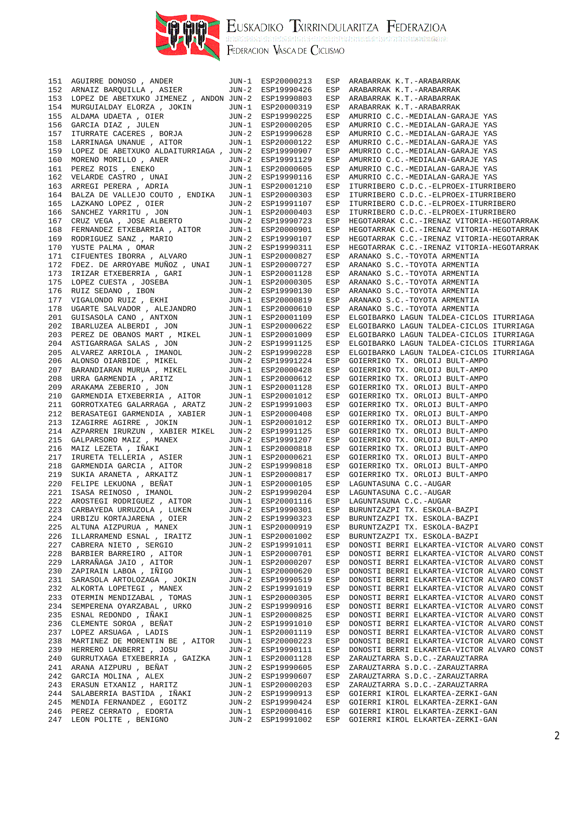

EUSKADIKO TXIRRINDULARITZA FEDERAZIOA

|     | 151 AGUIRRE DONOSO , ANDER<br>152 ARNAIZ BARQUILLA , ASIER                                                                                                                                                                                | JUN-1 ESP20000213 | ESP          | ARABARRAK K.T.-ARABARRAK                   |
|-----|-------------------------------------------------------------------------------------------------------------------------------------------------------------------------------------------------------------------------------------------|-------------------|--------------|--------------------------------------------|
|     |                                                                                                                                                                                                                                           | JUN-2 ESP19990426 | ESP          | ARABARRAK K.T.-ARABARRAK                   |
| 153 | LOPEZ DE ABETXUKO JIMENEZ , ANDON JUN-2 ESP19990803                                                                                                                                                                                       |                   | ESP          | ARABARRAK K.T.-ARABARRAK                   |
| 154 |                                                                                                                                                                                                                                           |                   | ESP          | ARABARRAK K.T.-ARABARRAK                   |
| 155 |                                                                                                                                                                                                                                           |                   | ESP          | AMURRIO C.C.-MEDIALAN-GARAJE YAS           |
| 156 |                                                                                                                                                                                                                                           |                   | ESP          | AMURRIO C.C.-MEDIALAN-GARAJE YAS           |
| 157 |                                                                                                                                                                                                                                           |                   | ESP          | AMURRIO C.C.-MEDIALAN-GARAJE YAS           |
| 158 |                                                                                                                                                                                                                                           |                   | ESP          | AMURRIO C.C.-MEDIALAN-GARAJE YAS           |
| 159 | LOPEZ DE ABETXUKO ALDAITURRIAGA, JUN-2 ESP19990907                                                                                                                                                                                        |                   | ESP          | AMURRIO C.C.-MEDIALAN-GARAJE YAS           |
| 160 |                                                                                                                                                                                                                                           |                   | ESP          | AMURRIO C.C.-MEDIALAN-GARAJE YAS           |
| 161 |                                                                                                                                                                                                                                           |                   | ESP          | AMURRIO C.C.-MEDIALAN-GARAJE YAS           |
| 162 |                                                                                                                                                                                                                                           |                   | ESP          | AMURRIO C.C.-MEDIALAN-GARAJE YAS           |
| 163 | NORENO MORILLO, ANER<br>MORENO MORILLO, ANER<br>PEREZ ROIS, ENEKO JUN-1 ESP20000605<br>VELARDE CASTRO, UNAI JUN-2 ESP19990116<br>ARREGI PERERA, ADRIA JUN-1 ESP20001210<br>BALZA DE VALLEJO COUTO, ENDIKA JUN-1 ESP20000303               |                   | ESP          | ITURRIBERO C.D.C.-ELPROEX-ITURRIBERO       |
| 164 |                                                                                                                                                                                                                                           |                   | ESP          | ITURRIBERO C.D.C.-ELPROEX-ITURRIBERO       |
| 165 |                                                                                                                                                                                                                                           |                   | ESP          | ITURRIBERO C.D.C.-ELPROEX-ITURRIBERO       |
| 166 |                                                                                                                                                                                                                                           |                   | ESP          | ITURRIBERO C.D.C.-ELPROEX-ITURRIBERO       |
| 167 |                                                                                                                                                                                                                                           |                   | ESP          | HEGOTARRAK C.C.-IRENAZ VITORIA-HEGOTARRAK  |
| 168 |                                                                                                                                                                                                                                           |                   | ESP          | HEGOTARRAK C.C.-IRENAZ VITORIA-HEGOTARRAK  |
| 169 |                                                                                                                                                                                                                                           |                   | ESP          | HEGOTARRAK C.C.-IRENAZ VITORIA-HEGOTARRAK  |
| 170 |                                                                                                                                                                                                                                           |                   | ESP          | HEGOTARRAK C.C.-IRENAZ VITORIA-HEGOTARRAK  |
| 171 |                                                                                                                                                                                                                                           |                   | ESP          | ARANAKO S.C.-TOYOTA ARMENTIA               |
| 172 |                                                                                                                                                                                                                                           |                   | ESP          | ARANAKO S.C.-TOYOTA ARMENTIA               |
| 173 |                                                                                                                                                                                                                                           |                   | ESP          | ARANAKO S.C.-TOYOTA ARMENTIA               |
| 175 |                                                                                                                                                                                                                                           |                   | ESP          | ARANAKO S.C.-TOYOTA ARMENTIA               |
| 176 |                                                                                                                                                                                                                                           |                   | ESP          | ARANAKO S.C.-TOYOTA ARMENTIA               |
| 177 |                                                                                                                                                                                                                                           |                   | ESP          | ARANAKO S.C.-TOYOTA ARMENTIA               |
| 178 |                                                                                                                                                                                                                                           |                   | ESP          | ARANAKO S.C.-TOYOTA ARMENTIA               |
| 201 |                                                                                                                                                                                                                                           |                   | ESP          | ELGOIBARKO LAGUN TALDEA-CICLOS ITURRIAGA   |
| 202 |                                                                                                                                                                                                                                           |                   | ESP          | ELGOIBARKO LAGUN TALDEA-CICLOS ITURRIAGA   |
| 203 |                                                                                                                                                                                                                                           |                   | ESP          | ELGOIBARKO LAGUN TALDEA-CICLOS ITURRIAGA   |
| 204 |                                                                                                                                                                                                                                           |                   | ESP          | ELGOIBARKO LAGUN TALDEA-CICLOS ITURRIAGA   |
| 205 |                                                                                                                                                                                                                                           |                   | ESP          | ELGOIBARKO LAGUN TALDEA-CICLOS ITURRIAGA   |
| 206 |                                                                                                                                                                                                                                           |                   | ESP          | GOIERRIKO TX. ORLOIJ BULT-AMPO             |
| 207 |                                                                                                                                                                                                                                           |                   | ESP          | GOIERRIKO TX. ORLOIJ BULT-AMPO             |
| 208 |                                                                                                                                                                                                                                           |                   | ESP          | GOIERRIKO TX. ORLOIJ BULT-AMPO             |
| 209 |                                                                                                                                                                                                                                           |                   | ESP          | GOIERRIKO TX. ORLOIJ BULT-AMPO             |
| 210 |                                                                                                                                                                                                                                           |                   | ESP          | GOIERRIKO TX. ORLOIJ BULT-AMPO             |
| 211 | ARKEI PERENE ARKEI (ADRI 1991 - ESP20001210<br>IAZKANG LOPEZ , OIER JUN-1 ESP20000303<br>IAZKANG LOPEZ , OIER JUN-2 ESP19991107<br>SANCHEZ YARAITU , JON<br>SANCHEZ YARAITU , JON<br>TERNANDEZ ETXEBARRIA , AITOR JUN-1 ESP20000303<br>FE |                   | ESP          | GOIERRIKO TX. ORLOIJ BULT-AMPO             |
| 212 |                                                                                                                                                                                                                                           |                   | ESP          | GOIERRIKO TX. ORLOIJ BULT-AMPO             |
| 213 |                                                                                                                                                                                                                                           |                   | ESP          | GOIERRIKO TX. ORLOIJ BULT-AMPO             |
| 214 | AZPARREN IRURZUN , XABIER MIKEL                                                                                                                                                                                                           | JUN-2 ESP19991125 | ESP          | GOIERRIKO TX. ORLOIJ BULT-AMPO             |
| 215 | AZPARKEN IRURZUN , ABIER MIREL UUN-Z ESPI9991123<br>GALPARSORO MAIZ , MANEX JUN-2 ESPI9991207<br>MAIZ LEZETA , IÑAKI JUN-1 ESP20000818<br>IRURETA TELLERIA , ASIER JUN-1 ESP20000621<br>GARMENDIA GARCIA , ARKAITZ JUN-2 ESP19990818<br>  |                   | ESP          | GOIERRIKO TX. ORLOIJ BULT-AMPO             |
| 216 |                                                                                                                                                                                                                                           |                   | ESP          | GOIERRIKO TX. ORLOIJ BULT-AMPO             |
| 217 |                                                                                                                                                                                                                                           |                   | ESP          | GOIERRIKO TX. ORLOIJ BULT-AMPO             |
| 218 |                                                                                                                                                                                                                                           |                   | ESP          | GOIERRIKO TX. ORLOIJ BULT-AMPO             |
| 219 |                                                                                                                                                                                                                                           |                   | ESP          | GOIERRIKO TX. ORLOIJ BULT-AMPO             |
| 220 |                                                                                                                                                                                                                                           |                   | ESP          | LAGUNTASUNA C.C.-AUGAR                     |
| 221 |                                                                                                                                                                                                                                           |                   |              | ESP LAGUNTASUNA C.C.-AUGAR                 |
| 222 |                                                                                                                                                                                                                                           |                   |              | ESP LAGUNTASUNA C.C.-AUGAR                 |
|     | 223 CARBAYEDA URRUZOLA, LUKEN JUN-2 ESP19990301 ESP BURUNTZAZPI TX. ESKOLA-BAZPI                                                                                                                                                          |                   |              |                                            |
| 224 | URBIZU KORTAJARENA , OIER                                                                                                                                                                                                                 | JUN-2 ESP19990323 | ESP          | BURUNTZAZPI TX. ESKOLA-BAZPI               |
| 225 | ALTUNA AIZPURUA , MANEX                                                                                                                                                                                                                   | JUN-1 ESP20000919 | ESP          | BURUNTZAZPI TX. ESKOLA-BAZPI               |
| 226 | ILLARRAMEND ESNAL , IRAITZ                                                                                                                                                                                                                | JUN-1 ESP20001002 | ESP          | BURUNTZAZPI TX. ESKOLA-BAZPI               |
| 227 | CABRERA NIETO , SERGIO                                                                                                                                                                                                                    | JUN-2 ESP19991011 | ESP          | DONOSTI BERRI ELKARTEA-VICTOR ALVARO CONST |
| 228 | BARBIER BARREIRO, AITOR                                                                                                                                                                                                                   | JUN-1 ESP20000701 | ESP          | DONOSTI BERRI ELKARTEA-VICTOR ALVARO CONST |
| 229 | LARRAÑAGA JAIO , AITOR                                                                                                                                                                                                                    | JUN-1 ESP20000207 | ESP          | DONOSTI BERRI ELKARTEA-VICTOR ALVARO CONST |
| 230 | ZAPIRAIN LABOA , IÑIGO                                                                                                                                                                                                                    | JUN-1 ESP20000620 | ESP          | DONOSTI BERRI ELKARTEA-VICTOR ALVARO CONST |
| 231 | SARASOLA ARTOLOZAGA , JOKIN                                                                                                                                                                                                               | JUN-2 ESP19990519 | ESP          | DONOSTI BERRI ELKARTEA-VICTOR ALVARO CONST |
| 232 | ALKORTA LOPETEGI , MANEX                                                                                                                                                                                                                  | JUN-2 ESP19991019 | ESP          | DONOSTI BERRI ELKARTEA-VICTOR ALVARO CONST |
| 233 | OTERMIN MENDIZABAL , TOMAS                                                                                                                                                                                                                | JUN-1 ESP20000305 | $_{\rm ESP}$ | DONOSTI BERRI ELKARTEA-VICTOR ALVARO CONST |
| 234 | SEMPERENA OYARZABAL , URKO                                                                                                                                                                                                                | JUN-2 ESP19990916 | ESP          | DONOSTI BERRI ELKARTEA-VICTOR ALVARO CONST |
| 235 | ESNAL REDONDO, IÑAKI                                                                                                                                                                                                                      | JUN-1 ESP20000825 | ESP          | DONOSTI BERRI ELKARTEA-VICTOR ALVARO CONST |
| 236 | CLEMENTE SOROA , BEÑAT                                                                                                                                                                                                                    | JUN-2 ESP19991010 | ESP          | DONOSTI BERRI ELKARTEA-VICTOR ALVARO CONST |
| 237 | LOPEZ ARSUAGA, LADIS                                                                                                                                                                                                                      | JUN-1 ESP20001119 | ESP          | DONOSTI BERRI ELKARTEA-VICTOR ALVARO CONST |
| 238 | MARTINEZ DE MORENTIN BE , AITOR                                                                                                                                                                                                           | JUN-1 ESP20000223 | ESP          | DONOSTI BERRI ELKARTEA-VICTOR ALVARO CONST |
| 239 | HERRERO LANBERRI , JOSU                                                                                                                                                                                                                   | JUN-2 ESP19990111 | ESP          | DONOSTI BERRI ELKARTEA-VICTOR ALVARO CONST |
| 240 | GURRUTXAGA ETXEBERRIA , GAIZKA                                                                                                                                                                                                            | JUN-1 ESP20001128 | ESP          | ZARAUZTARRA S.D.C.-ZARAUZTARRA             |
| 241 | ARANA AIZPURU , BEÑAT                                                                                                                                                                                                                     | JUN-2 ESP19990605 | ESP          | ZARAUZTARRA S.D.C.-ZARAUZTARRA             |
| 242 | GARCIA MOLINA , ALEX                                                                                                                                                                                                                      | JUN-2 ESP19990607 | ESP          | ZARAUZTARRA S.D.C.-ZARAUZTARRA             |
| 243 | ERASUN ETXANIZ , HARITZ                                                                                                                                                                                                                   | JUN-1 ESP20000203 | ESP          | ZARAUZTARRA S.D.C.-ZARAUZTARRA             |
| 244 | SALABERRIA BASTIDA , IÑAKI                                                                                                                                                                                                                | JUN-2 ESP19990913 | ESP          | GOIERRI KIROL ELKARTEA-ZERKI-GAN           |
| 245 | MENDIA FERNANDEZ , EGOITZ                                                                                                                                                                                                                 | JUN-2 ESP19990424 | ESP          | GOIERRI KIROL ELKARTEA-ZERKI-GAN           |
| 246 | PEREZ CERRATO, EDORTA                                                                                                                                                                                                                     | JUN-1 ESP20000416 | ESP          | GOIERRI KIROL ELKARTEA-ZERKI-GAN           |
| 247 | LEON POLITE , BENIGNO                                                                                                                                                                                                                     | JUN-2 ESP19991002 | ESP          | GOIERRI KIROL ELKARTEA-ZERKI-GAN           |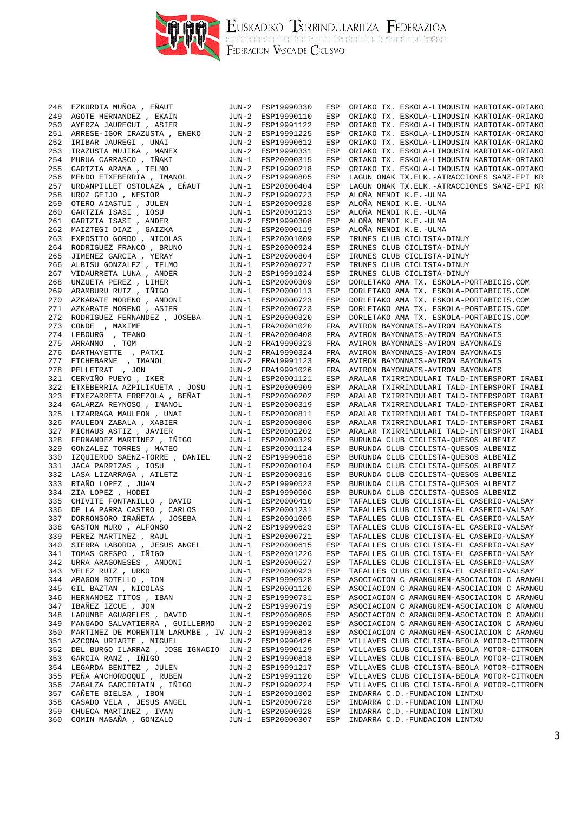

EUSKADIKO TXIRRINDULARITZA FEDERAZIOA<br>Ilaisterrelearielearielearielearielearielearielearielearielearielearielea<br>Federacion Vasca de Ciclismo

248 EZKURDIA MUÑOA , EÑAUT JUN-2 ESP19990330 ESP ORIAKO TX. ESKOLA-LIMOUSIN KARTOIAK-ORIAKO 249 AGOTE HERNANDEZ , EKAIN JUN-2 ESP19990110 ESP ORIAKO TX. ESKOLA-LIMOUSIN KARTOIAK-ORIAKO 250 AYERZA JAUREGUI , ASIER JUN-2 ESP19991122 ESP ORIAKO TX. ESKOLA-LIMOUSIN KARTOIAK-ORIAKO 251 ARRESE-IGOR IRAZUSTA , ENEKO JUN-2 ESP19991225 ESP ORIAKO TX. ESKOLA-LIMOUSIN KARTOIAK-ORIAKO 252 IRIBAR JAUREGI , UNAI JUN-2 ESP19990612 ESP ORIAKO TX. ESKOLA-LIMOUSIN KARTOIAK-ORIAKO 253 IRAZUSTA MUJIKA , MANEX JUN-2 ESP19990331 ESP ORIAKO TX. ESKOLA-LIMOUSIN KARTOIAK-ORIAKO 254 MURUA CARRASCO , IÑAKI JUN-1 ESP20000315 ESP ORIAKO TX. ESKOLA-LIMOUSIN KARTOIAK-ORIAKO 255 GARTZIA ARANA , TELMO JUN-2 ESP19990218 ESP ORIAKO TX. ESKOLA-LIMOUSIN KARTOIAK-ORIAKO 256 MENDO ETXEBERRIA , IMANOL JUN-2 ESP19990805 ESP LAGUN ONAK TX.ELK.-ATRACCIONES SANZ-EPI KR 257 URDANPILLET OSTOLAZA , EÑAUT JUN-1 ESP20000404 ESP LAGUN ONAK TX.ELK.-ATRACCIONES SANZ-EPI KR 258 UROZ GEIJO , NESTOR JUN-2 ESP19990723 ESP ALOÑA MENDI K.E.-ULMA 259 OTERO AIASTUI , JULEN JUN-1 ESP20000928 ESP ALOÑA MENDI K.E.-ULMA 260 GARTZIA ISASI , IOSU JUN-1 ESP20001213 ESP ALOÑA MENDI K.E.-ULMA 261 GARTZIA ISASI , ANDER JUN-2 ESP19990308 ESP ALOÑA MENDI K.E.-ULMA 262 MAIZTEGI DIAZ , GAIZKA JUN-1 ESP20000119 ESP ALOÑA MENDI K.E.-ULMA 263 EXPOSITO GORDO , NICOLAS JUN-1 ESP20001009 ESP IRUNES CLUB CICLISTA-DINUY 264 RODRIGUEZ FRANCO , BRUNO JUN-1 ESP20000924 ESP IRUNES CLUB CICLISTA-DINUY 265 JIMENEZ GARCIA , YERAY JUN-1 ESP20000804 ESP IRUNES CLUB CICLISTA-DINUY 266 ALBISU GONZALEZ , TELMO JUN-1 ESP20000727 ESP IRUNES CLUB CICLISTA-DINUY<br>267 VIDAURRETA LUNA , ANDER JUN-2 ESP19991024 ESP IRUNES CLUB CICLISTA-DINUY 267 VIDAURRETA LUNA , ANDER JUN-2 ESP19991024 ESP IRUNES CLUB CICLISTA-DINUY ESP DORLETAKO AMA TX. ESKOLA-PORTABICIS.COM 269 ARAMBURU RUIZ , IÑIGO JUN-1 ESP20000113 ESP DORLETAKO AMA TX. ESKOLA-PORTABICIS.COM<br>270 AZKARATE MORENO , ANDONI JUN-1 ESP20000723 ESP DORLETAKO AMA TX. ESKOLA-PORTABICIS.COM ESP DORLETAKO AMA TX. ESKOLA-PORTABICIS.COM 271 AZKARATE MORENO , ASIER JUN-1 ESP20000723 ESP DORLETAKO AMA TX. ESKOLA-PORTABICIS.COM 272 RODRIGUEZ FERNANDEZ , JOSEBA JUN-1 ESP20000820 ESP DORLETAKO AMA TX. ESKOLA-PORTABICIS.COM 273 CONDE , MAXIME JUN-1 FRA20001020 FRA AVIRON BAYONNAIS-AVIRON BAYONNAIS<br>274 LEBOURG , TEANO JUN-1 FRA20000408 FRA AVIRON BAYONNAIS-AVIRON BAYONNAIS<br>275 2007 JUN-1 FRA20000408 FRA AVIRON BAYONNAIS-AVIRON BAYONNAIS<br>2007 - JUN-2 FRA19990323 FRA AVIRON BAYONNAIS-AVIRON BAYONNAIS 275 ARRANNO , TOM JUN-2 FRA19990323 FRA AVIRON BAYONNAIS-AVIRON BAYONNAIS 276 DARTHAYETTE , PATXI JUN-2 FRA19990324 FRA AVIRON BAYONNAIS-AVIRON BAYONNAIS FRA AVIRON BAYONNAIS-AVIRON BAYONNAIS 278 PELLETRAT , JON JUN-2 FRA19991026 FRA AVIRON BAYONNAIS-AVIRON BAYONNAIS 321 CERVIÑO PUEYO , IKER JUN-1 ESP20001121 ESP ARALAR TXIRRINDULARI TALD-INTERSPORT IRABI 322 ETXEBERRIA AZPILIKUETA , JOSU JUN-1 ESP20000909 ESP ARALAR TXIRRINDULARI TALD-INTERSPORT IRABI 323 ETXEZARRETA ERREZOLA , BEÑAT JUN-1 ESP20000202 ESP ARALAR TXIRRINDULARI TALD-INTERSPORT IRABI 324 GALARZA REYNOSO , IMANOL JUN-1 ESP20000319 ESP ARALAR TXIRRINDULARI TALD-INTERSPORT IRABI 325 LIZARRAGA MAULEON , UNAI JUN-1 ESP20000811 ESP ARALAR TXIRRINDULARI TALD-INTERSPORT IRABI 326 MAULEON ZABALA , XABIER JUN-1 ESP20000806 ESP ARALAR TXIRRINDULARI TALD-INTERSPORT IRABI 327 MICHAUS ASTIZ , JAVIER JUN-1 ESP20001202 ESP ARALAR TXIRRINDULARI TALD-INTERSPORT IRABI 328 FERNANDEZ MARTINEZ , IÑIGO JUN-1 ESP20000329 ESP BURUNDA CLUB CICLISTA-QUESOS ALBENIZ 329 GONZALEZ TORRES , MATEO JUN-1 ESP20001124 ESP BURUNDA CLUB CICLISTA-QUESOS ALBENIZ 330 IZQUIERDO SAENZ-TORRE , DANIEL JUN-2 ESP19990618 ESP BURUNDA CLUB CICLISTA-QUESOS ALBENIZ 331 JACA PARRIZAS , IOSU JUN-1 ESP20000104 ESP BURUNDA CLUB CICLISTA-QUESOS ALBENIZ 332 LASA LIZARRAGA , AILETZ JUN-1 ESP20000315 ESP BURUNDA CLUB CICLISTA-QUESOS ALBENIZ 333 RIAÑO LOPEZ , JUAN JUN-2 ESP19990523 ESP BURUNDA CLUB CICLISTA-QUESOS ALBENIZ 334 ZIA LOPEZ , HODEI JUN-2 ESP19990506 ESP BURUNDA CLUB CICLISTA-QUESOS ALBENIZ TAFALLES CLUB CICLISTA-EL CASERIO-VALSAY ESP TAFALLES CLUB CICLISTA-EL CASERIO-VALSAY 336 DE LA PARRA CASTRO , CARLOS JUN-1 ESP20001231 ESP TAFALLES CLUB CICLISTA-EL CASERIO-VALSAY<br>337 DORRONSORO IRAÑETA , JOSEBA JUN-1 ESP20001005 ESP TAFALLES CLUB CICLISTA-EL CASERIO-VALSAY<br>338 GASTON MURO , ALFONSO JUN-2 338 GASTON MURO , ALFONSO JUN-2 ESP19990623 ESP TAFALLES CLUB CICLISTA-EL CASERIO-VALSAY 339 PEREZ MARTINEZ , RAUL JUN-1 ESP20000721 ESP TAFALLES CLUB CICLISTA-EL CASERIO-VALSAY 340 SIERRA LABORDA , JESUS ANGEL JUN-1 ESP20000615 ESP TAFALLES CLUB CICLISTA-EL CASERIO-VALSAY 341 TOMAS CRESPO , IÑIGO JUN-1 ESP20001226 ESP TAFALLES CLUB CICLISTA-EL CASERIO-VALSAY 342 URRA ARAGONESES , ANDONI JUN-1 ESP20000527 ESP TAFALLES CLUB CICLISTA-EL CASERIO-VALSAY 343 VELEZ RUIZ , URKO JUN-1 ESP20000923 ESP TAFALLES CLUB CICLISTA-EL CASERIO-VALSAY 344 ARAGON BOTELLO , ION JUN-2 ESP19990928 ESP ASOCIACION C ARANGUREN-ASOCIACION C ARANGUR (ARANGUREN-ASOCIACION C ARANGUREN-ASOCIACION C ARANGUREN-ASOCIACION C ARANGUREN-ASOCIACION C ARANGUREN-ASOCIACION C ARANGUREN-ASOCI 345 GIL BAZTAN , NICOLAS JUN-1 ESP20001120 ESP ASOCIACION C ARANGUREN-ASOCIACION C ARANGU 346 HERNANDEZ TITOS , IBAN JUN-2 ESP19990731 ESP ASOCIACION C ARANGUREN-ASOCIACION C ARANGU 347 IBAÑEZ IZCUE , JON JUN-2 ESP19990719 ESP ASOCIACION C ARANGUREN-ASOCIACION C ARANGU 348 LARUMBE AGUARELES , DAVID JUN-1 ESP20000605 ESP ASOCIACION C ARANGUREN-ASOCIACION C ARANGU 349 MANGADO SALVATIERRA , GUILLERMO JUN-2 ESP19990202 ESP ASOCIACION C ARANGUREN-ASOCIACION C ARANGU 350 MARTINEZ DE MORENTIN LARUMBE , IV JUN-2 ESP19990813 ESP ASOCIACION C ARANGUREN-ASOCIACION C ARANGU 351 AZCONA URIARTE , MIGUEL JUN-2 ESP19990426 ESP VILLAVES CLUB CICLISTA-BEOLA MOTOR-CITROEN 352 DEL BURGO ILARRAZ , JOSE IGNACIO JUN-2 ESP19990129 ESP VILLAVES CLUB CICLISTA-BEOLA MOTOR-CITROEN 353 GARCIA RANZ , IÑIGO JUN-2 ESP19990818 ESP VILLAVES CLUB CICLISTA-BEOLA MOTOR-CITROEN 354 LEGARDA BENITEZ , JULEN JUN-2 ESP19991217 ESP VILLAVES CLUB CICLISTA-BEOLA MOTOR-CITROEN 355 PEÑA ANCHORDOQUI , RUBEN JUN-2 ESP19991120 ESP VILLAVES CLUB CICLISTA-BEOLA MOTOR-CITROEN 356 ZABALZA GARCIRIAIN , IÑIGO JUN-2 ESP19990224 ESP VILLAVES CLUB CICLISTA-BEOLA MOTOR-CITROEN 357 CAÑETE BIELSA , IBON JUN-1 ESP20001002 ESP INDARRA C.D.-FUNDACION LINTXU 358 CASADO VELA , JESUS ANGEL JUN-1 ESP20000728 ESP INDARRA C.D.-FUNDACION LINTXU 359 CHUECA MARTINEZ , IVAN JUN-1 ESP20000928 ESP INDARRA C.D.-FUNDACION LINTXU 360 COMIN MAGAÑA , GONZALO JUN-1 ESP20000307 ESP INDARRA C.D.-FUNDACION LINTXU